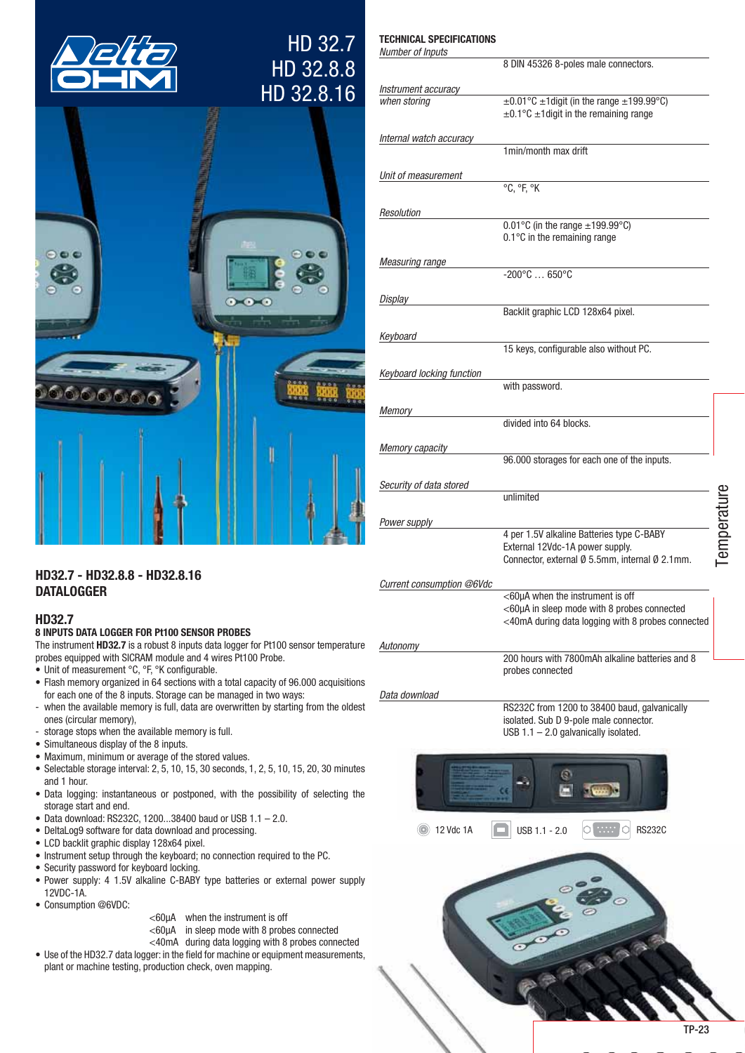

# HD 32.7 HD 32.8.8 HD 32.8.16

**TECHNICAL SPECIFICATIONS** 



| Number of Inputs          |                                                                                                                              |             |
|---------------------------|------------------------------------------------------------------------------------------------------------------------------|-------------|
|                           | 8 DIN 45326 8-poles male connectors.                                                                                         |             |
| Instrument accuracy       |                                                                                                                              |             |
| when storing              | $\pm 0.01^{\circ}$ C $\pm 1$ digit (in the range $\pm 199.99^{\circ}$ C)<br>$\pm$ 0.1°C $\pm$ 1 digit in the remaining range |             |
| Internal watch accuracy   |                                                                                                                              |             |
|                           | 1min/month max drift                                                                                                         |             |
| Unit of measurement       |                                                                                                                              |             |
|                           | °C, °F, °K                                                                                                                   |             |
| Resolution                |                                                                                                                              |             |
|                           | $0.01^{\circ}$ C (in the range $\pm$ 199.99 $^{\circ}$ C)<br>0.1°C in the remaining range                                    |             |
| <b>Measuring range</b>    |                                                                                                                              |             |
|                           | $-200^{\circ}$ C  650 $^{\circ}$ C                                                                                           |             |
| Display                   |                                                                                                                              |             |
|                           | Backlit graphic LCD 128x64 pixel.                                                                                            |             |
| Keyboard                  |                                                                                                                              |             |
|                           | 15 keys, configurable also without PC.                                                                                       |             |
| Keyboard locking function |                                                                                                                              |             |
|                           | with password.                                                                                                               |             |
| Memory                    |                                                                                                                              |             |
|                           | divided into 64 blocks.                                                                                                      |             |
| <b>Memory capacity</b>    |                                                                                                                              |             |
|                           | 96.000 storages for each one of the inputs.                                                                                  |             |
| Security of data stored   |                                                                                                                              |             |
|                           | unlimited                                                                                                                    |             |
| Power supply              |                                                                                                                              |             |
|                           | 4 per 1.5V alkaline Batteries type C-BABY<br>External 12Vdc-1A power supply.                                                 | Temperature |
|                           | Connector, external Ø 5.5mm, internal Ø 2.1mm.                                                                               |             |
| Current consumption @6Vdc |                                                                                                                              |             |
|                           | <60µA when the instrument is off                                                                                             |             |
|                           | $<$ 60 $\mu$ A in sleep mode with 8 probes connected<br><40mA during data logging with 8 probes connected                    |             |
|                           |                                                                                                                              |             |
| Autonomy                  | 200 hours with 7800mAh alkaline batteries and 8                                                                              |             |
|                           | probes connected                                                                                                             |             |
| Data download             |                                                                                                                              |             |
|                           | RS232C from 1200 to 38400 baud, galvanically                                                                                 |             |
|                           | isolated. Sub D 9-pole male connector.<br>USB $1.1 - 2.0$ galvanically isolated.                                             |             |
|                           |                                                                                                                              |             |

 $\mathcal{Q}$ 

閊

ol ww l

asaaaa

 $\circ$  RS232C

 $\bigcup$  USB 1.1 - 2.0

**12 Vdc 1A** 

# HD32.7 - HD32.8.8 - HD32.8.16 **DATALOGGER**

# **HD32.7**

# 8 INPUTS DATA LOGGER FOR Pt100 SENSOR PROBES

The instrument HD32.7 is a robust 8 inputs data logger for Pt100 sensor temperature probes equipped with SICRAM module and 4 wires Pt100 Probe.

- Unit of measurement °C, °F, °K configurable.
- Flash memory organized in 64 sections with a total capacity of 96.000 acquisitions for each one of the 8 inputs. Storage can be managed in two ways:
- when the available memory is full, data are overwritten by starting from the oldest ones (circular memory),
- storage stops when the available memory is full.  $\overline{a}$
- Simultaneous display of the 8 inputs.
- Maximum, minimum or average of the stored values.
- · Selectable storage interval: 2, 5, 10, 15, 30 seconds, 1, 2, 5, 10, 15, 20, 30 minutes and 1 hour.
- Data logging: instantaneous or postponed, with the possibility of selecting the storage start and end.
- Data download: RS232C, 1200...38400 baud or USB 1.1 2.0.
- DeltaLog9 software for data download and processing.
- LCD backlit graphic display 128x64 pixel.
- Instrument setup through the keyboard; no connection required to the PC.
- Security password for keyboard locking.
- Power supply: 4 1.5V alkaline C-BABY type batteries or external power supply 12VDC-1A
- Consumption @6VDC:
- <60µA when the instrument is off
- $<$ 60 $\mu$ A in sleep mode with 8 probes connected
- <40mA during data logging with 8 probes connected
- Use of the HD32.7 data logger: in the field for machine or equipment measurements. plant or machine testing, production check, oven mapping.

**TP-23**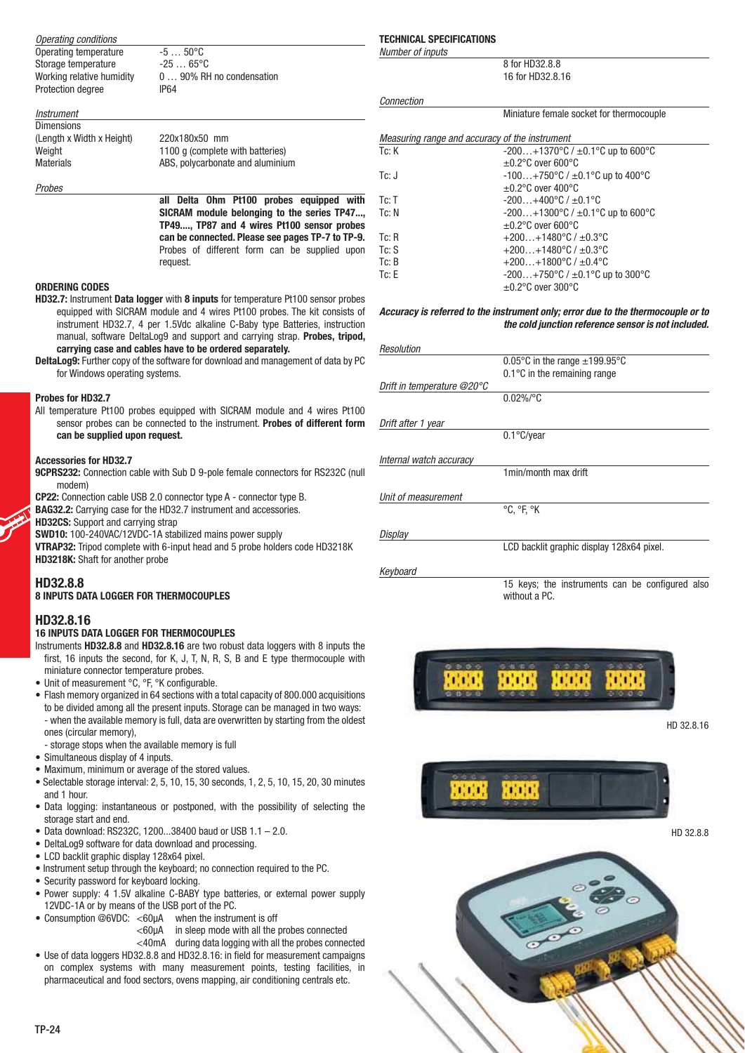| Operating conditions      |                           |
|---------------------------|---------------------------|
| Operating temperature     | $-550^{\circ}C$           |
| Storage temperature       | -25 … 65°C                |
| Working relative humidity | 0  90% RH no condensation |
| Protection degree         | IP64                      |

| Instrument                |                                  |
|---------------------------|----------------------------------|
| <b>Dimensions</b>         |                                  |
| (Length x Width x Height) | 220x180x50 mm                    |
| Weight                    | 1100 g (complete with batteries) |
| <b>Materials</b>          | ABS, polycarbonate and aluminium |
|                           |                                  |

Probes

**all Delta Ohm Pt100 probes equipped with SICRAM module belonging to the series TP47..., TP49...., TP87 and 4 wires Pt100 sensor probes can be connected. Please see pages TP-7 to TP-9.** Probes of different form can be supplied upon request.

#### **ORDERING CODES**

- **HD32.7:** Instrument **Data logger** with **8 inputs** for temperature Pt100 sensor probes equipped with SICRAM module and 4 wires Pt100 probes. The kit consists of instrument HD32.7, 4 per 1.5Vdc alkaline C-Baby type Batteries, instruction manual, software DeltaLog9 and support and carrying strap. **Probes, tripod, carrying case and cables have to be ordered separately.**
- **DeltaLog9:** Further copy of the software for download and management of data by PC for Windows operating systems.

## **Probes for HD32.7**

All temperature Pt100 probes equipped with SICRAM module and 4 wires Pt100 sensor probes can be connected to the instrument. **Probes of different form can be supplied upon request.**

#### **Accessories for HD32.7**

- **9CPRS232:** Connection cable with Sub D 9-pole female connectors for RS232C (null modem)
- **CP22:** Connection cable USB 2.0 connector type A connector type B.
- **BAG32.2:** Carrying case for the HD32.7 instrument and accessories.

**HD32CS:** Support and carrying strap

**SWD10:** 100-240VAC/12VDC-1A stabilized mains power supply

**VTRAP32:** Tripod complete with 6-input head and 5 probe holders code HD3218K **HD3218K:** Shaft for another probe

# **HD32.8.8**

#### **8 INPUTS DATA LOGGER FOR THERMOCOUPLES**

### **HD32.8.16**

#### **16 INPUTS DATA LOGGER FOR THERMOCOUPLES**

- Instruments **HD32.8.8** and **HD32.8.16** are two robust data loggers with 8 inputs the first, 16 inputs the second, for K, J, T, N, R, S, B and E type thermocouple with miniature connector temperature probes.
- Unit of measurement °C, °F, °K configurable.
- Flash memory organized in 64 sections with a total capacity of 800,000 acquisitions to be divided among all the present inputs. Storage can be managed in two ways: - when the available memory is full, data are overwritten by starting from the oldest ones (circular memory),
- storage stops when the available memory is full
- Simultaneous display of 4 inputs.
- Maximum, minimum or average of the stored values.
- $\bullet$  Selectable storage interval: 2, 5, 10, 15, 30 seconds, 1, 2, 5, 10, 15, 20, 30 minutes and 1 hour.
- Data logging: instantaneous or postponed, with the possibility of selecting the storage start and end.
- $\bullet$  Data download: RS232C, 1200...38400 baud or USB 1.1 2.0.
- DeltaLog9 software for data download and processing.
- LCD backlit graphic display 128x64 pixel.
- Instrument setup through the keyboard; no connection required to the PC.
- Security password for keyboard locking.
- Power supply: 4 1.5V alkaline C-BABY type batteries, or external power supply 12VDC-1A or by means of the USB port of the PC.
- Consumption  $@6VDC: <60\mu A$  when the instrument is off
	- <60μA in sleep mode with all the probes connected
- <40mA during data logging with all the probes connected • Use of data loggers HD32.8.8 and HD32.8.16: in field for measurement campaigns on complex systems with many measurement points, testing facilities, in pharmaceutical and food sectors, ovens mapping, air conditioning centrals etc.

#### **TECHNICAL SPECIFICATIONS** Number of inputs

Connection

8 for HD32.8.8 16 for HD32.8.16

Miniature female socket for thermocouple

|       | Measuring range and accuracy of the instrument       |
|-------|------------------------------------------------------|
| Tc: K | $-200+1370^{\circ}C / \pm 0.1^{\circ}C$ up to 600 °C |
|       | $\pm 0.2$ °C over 600°C                              |
| Tc: J | $-100+750$ °C / $\pm 0.1$ °C up to 400°C             |
|       | $\pm 0.2$ °C over 400°C                              |
| Tc: T | $-200+400\degree$ C / $\pm 0.1\degree$ C             |
| Tc: N | $-200+1300^{\circ}C / \pm 0.1^{\circ}C$ up to 600 °C |
|       | $\pm 0.2$ °C over 600°C                              |
| Tc: R | $+200+1480$ °C / $\pm 0.3$ °C                        |
| Tc: S | $+200+1480$ °C / $\pm 0.3$ °C                        |
| Tc: B | $+200+1800$ °C / $\pm 0.4$ °C                        |
| Tc: E | $-200+750$ °C / $\pm 0.1$ °C up to 300°C             |
|       | $\pm 0.2$ °C over 300°C                              |

#### *Accuracy is referred to the instrument only; error due to the thermocouple or to the cold junction reference sensor is not included.*

| Resolution                 |                                                 |
|----------------------------|-------------------------------------------------|
|                            | 0.05°C in the range $\pm$ 199.95°C              |
|                            | 0.1°C in the remaining range                    |
| Drift in temperature @20°C |                                                 |
|                            | $0.02\%$ /°C                                    |
| Drift after 1 year         |                                                 |
|                            | $0.1^{\circ}$ C/year                            |
| Internal watch accuracy    |                                                 |
|                            | 1min/month max drift                            |
| Unit of measurement        |                                                 |
|                            | $^{\circ}$ C. $^{\circ}$ F. $^{\circ}$ K        |
| Display                    |                                                 |
|                            | LCD backlit graphic display 128x64 pixel.       |
| Keyboard                   |                                                 |
|                            | 15 keys: the instruments can be configured also |

15 keys; the instruments can be configured also without a PC.



HD 32.8.16



HD 32.8.8